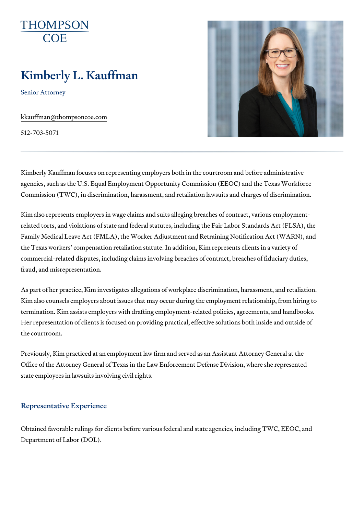# Kimberly L. Kauffman

Senior Attorney

[kkauffman@thomps](mailto:kkauffman@thompsoncoe.com)oncoe.com

512-703-5071

Kimberly Kauffman focuses on representing employers both in the courtroo agencies, such as the U.S. Equal Employment Opportunity Commission (EE Commission (TWC), in discrimination, harassment, and retaliation lawsuits

Kim also represents employers in wage claims and suits alleging breaches related torts, and violations of state and federal statutes, including the Fa Family Medical Leave Act (FMLA), the Worker Adjustment and Retraining N the Texas workers compensation retaliation statute. In addition, Kim repre commercial-related disputes, including claims involving breaches of contra fraud, and misrepresentation.

As part of her practice, Kim investigates allegations of workplace discrimi Kim also counsels employers about issues that may occur during the emplo termination. Kim assists employers with drafting employment-related polici Her representation of clients is focused on providing practical, effective s the courtroom.

Previously, Kim practiced at an employment law firm and served as an Ass Office of the Attorney General of Texas in the Law Enforcement Defense D state employees in lawsuits involving civil rights.

### Representative Experience

Obtained favorable rulings for clients before various federal and state age Department of Labor (DOL).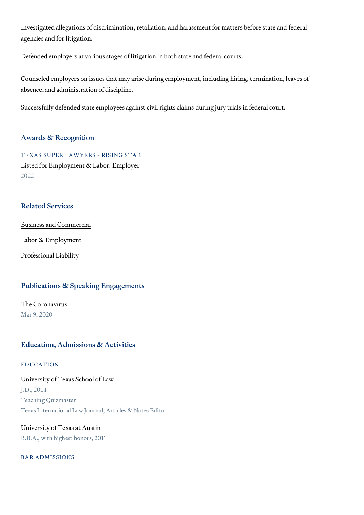Investigated allegations of discrimination, retaliation, and harassment for agencies and for litigation.

Defended employers at various stages of litigation in both state and federal

Counseled employers on issues that may arise during employment, includin absence, and administration of discipline.

Successfully defended state employees against civil rights claims during jo

#### Awards & Recognition

TEXAS SUPER LAWYERS - RISING STAR Listed for Employment & Labor: Employer 2022

#### Related Services

[Business and C](https://www.thompsoncoe.com/people/kimberly-l-kauffman/)ommercial

[Labor & Empl](https://www.thompsoncoe.com/people/kimberly-l-kauffman/)oyment

[Professional](https://www.thompsoncoe.com/people/kimberly-l-kauffman/) Liability

# Publications & Speaking Engagements

# [The Coron](https://www.thompsoncoe.com/resources/publications/the-coronavirus/)avirus

Mar 9, 2020

## Education, Admissions & Activities

#### EDUCATION

#### University of Texas School of Law

J.D., 2014 Teaching Quizmaster Texas International Law Journal, Articles & Notes Editor

# University of Texas at Austin B.B.A., with highest honors, 2011

#### BAR ADMISSIONS